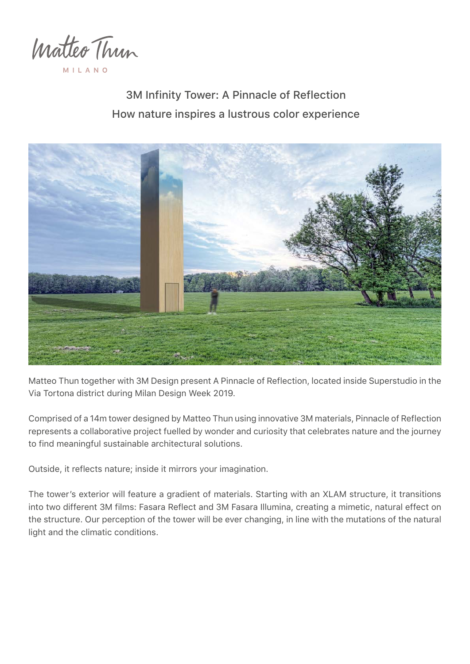

MILAN

3M Infinity Tower: A Pinnacle of Reflection How nature inspires a lustrous color experience



Matteo Thun together with 3M Design present A Pinnacle of Reflection, located inside Superstudio in the Via Tortona district during Milan Design Week 2019.

Comprised of a 14m tower designed by Matteo Thun using innovative 3M materials, Pinnacle of Reflection represents a collaborative project fuelled by wonder and curiosity that celebrates nature and the journey to find meaningful sustainable architectural solutions.

Outside, it reflects nature; inside it mirrors your imagination.

The tower's exterior will feature a gradient of materials. Starting with an XLAM structure, it transitions into two different 3M films: Fasara Reflect and 3M Fasara Illumina, creating a mimetic, natural effect on the structure. Our perception of the tower will be ever changing, in line with the mutations of the natural light and the climatic conditions.